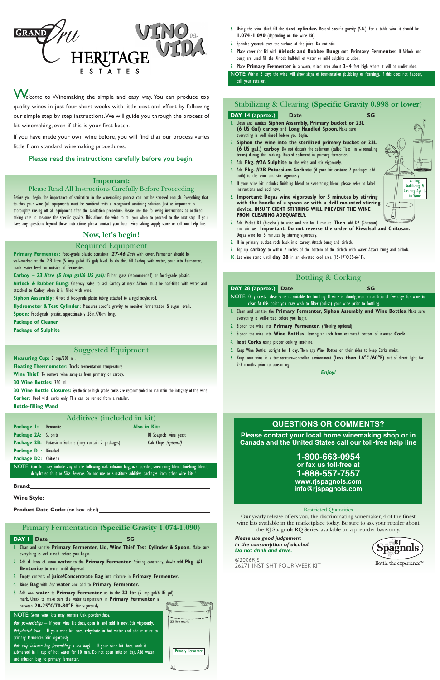- 6. Using the wine thief, fill the **test cylinder.** Record specific gravity (S.G.). For a table wine it should be **1.074-1.090** (depending on the wine kit).
- 7. Sprinkle **yeast** over the surface of the juice. Do not stir.
- 8. Place cover (or lid with **Airlock and Rubber Bung**) onto **Primary Fermenter.** If Airlock and bung are used fill the Airlock half-full of water or mild sulphite solution.
- 9. Place **Primary Fermenter** in a warm, raised area about **3- 4** feet high, where it will be undisturbed.

NOTE: Within 2 days the wine will show signs of fermentation (bubbling or foaming). If this does not happen, call your retailer.

# Stabilizing & Clearing **(Specific Gravity 0.998 or lower)**

#### **DAY 14 (approx.) Date** Date SG

# **DAY 28 (approx.)** Date SG NOTE: Only crystal clear wine is suitable for bottling. If wine is cloudy, wait an additional few days for wine to

- 1. Clean and sanitize **Siphon Assembly, Primary bucket or 23L (6 US Gal) carboy** and **Long Handled Spoon**. Make sure everything is well rinsed before you begin.
- 2. **Siphon the wine into the sterilized primary bucket or 23L (6 US gal.) carboy**. Do not disturb the sediment (called "lees" in winemaking terms) during this racking. Discard sediment in primary fermenter.
- 3. Add **Pkg. #2A Sulphite** to the wine and stir vigorously.
- 4. Add **Pkg. #2B Potassium Sorbate** (if your kit contains 2 packages add both) to the wine and stir vigorously.
- 5. If your wine kit includes finishing blend or sweetening blend, please refer to label instructions and add now.
- 6. **Important: Degas wine vigorously for 5 minutes by stirring with the handle of a spoon or with a drill mounted stirring device. INSUFFICIENT STIRRING WILL PREVENT THE WINE FROM CLEARING ADEQUATELY.**
- 7. Add Packet D1 (Kieselsol) to wine and stir for 1 minute. **Then** add D2 (Chitosan) and stir well. **Important: Do not reverse the order of Kieselsol and Chitosan.** Degas wine for 5 minutes by stirring vigorously.
- 8. If in primary bucket, rack back into carboy. Attach bung and airlock.
- 9. Top up **carboy** to within 2 inches of the bottom of the airlock with water. Attach bung and airlock.
- 10. Let wine stand until **day 28** in an elevated cool area (15-19˚C/59-66˚F).

# Bottling & Corking

clear. At this point you may wish to filter (polish) your wine prior to bottling.

- 1. Clean and sanitize the **Primary Fermenter, Siphon Assembly and Wine Bottles**. Make sure everything is well-rinsed before you begin.
- 2. Siphon the wine into **Primary Fermenter.** (Filtering optional)
- 3. Siphon the wine into **Wine Bottles,** leaving an inch from estimated bottom of inserted **Cork.**
- 4. Insert **Corks** using proper corking machine.
- 5. Keep Wine Bottles upright for 1 day. Then age Wine Bottles on their sides to keep Corks moist.
- 6. Keep your wine in a temperature-controlled environment **(less than 16°C /60°F)** out of direct light, for 2-3 months prior to consuming.

**Package 1:** Bentonite **Also in Kit: Package 2A:** Sulphite RJ Spagnols wine yeast Package 2B: Potassium Sorbate (may contain 2 packages) Oak Chips (optional) **Package D1:** Kieselsol

*Enjoy!*



W*elcome* to Winemaking the simple and easy way. You can produce top quality wines in just four short weeks with little cost and effort by following our simple step by step instructions.We will guide you through the process of kit winemaking, even if this is your first batch.

If you have made your own wine before, you will find that our process varies little from standard winemaking procedures.

# Please read the instructions carefully before you begin.

# **Important:**

#### Please Read All Instructions Carefully Before Proceeding

Oak chip infusion bag (resembling a tea bag)  $-$  If your wine kit does, soak it submersed in 1 cup of hot water for 10 min. Do not open infusion bag. Add water

Before you begin, the importance of sanitation in the winemaking process can not be stressed enough. Everything that touches your wine (all equipment) must be sanitized with a recognized sanitizing solution. Just as important is thoroughly rinsing off all equipment after the sanitation procedure. Please use the following instructions as outlined taking care to measure the specific gravity. This allows the wine to tell you when to proceed to the next step. If you have any questions beyond these instructions please contact your local winemaking supply store or call our help line.

# 23 litre mark Primary Fermenter

### **Now, let's begin!**

# Required Equipment

**Primary Fermenter:** Food-grade plastic container (**27-46** litre) with cover. Fermenter should be well-marked at the **23** litre (5 imp gal/6 US gal) level. To do this, fill Carboy with water, pour into Fermenter, mark water level on outside of Fermenter.

**Carboy – 23 litre (5 imp gal/6 US gal):** Either glass (recommended) or food-grade plastic. **Airlock & Rubber Bung:** One-way valve to seal Carboy at neck. Airlock must be half-filled with water and

attached to Carboy when it is filled with wine.

**Siphon Assembly:** 4 feet of food-grade plastic tubing attached to a rigid acrylic rod.

**Hydrometer & Test Cylinder:** Measures specific gravity to monitor fermentation & sugar levels. **Spoon:** Food-grade plastic, approximately 28in./70cm. long.

**Package of Cleaner**

**Package of Sulphite**

# Suggested Equipment

**Measuring Cup:** 2 cup/500 ml.

**Floating Thermometer:** Tracks fermentation temperature.

**Wine Thief:** To remove wine samples from primary or carboy.

**30 Wine Bottles:** 750 ml.

**30 Wine Bottle Closures:** Synthetic or high grade corks are recommended to maintain the integrity of the wine. **Corker:** Used with corks only. This can be rented from a retailer. **Bottle-filling Wand**

# Additives (included in kit)

**Package D2:** Chitosan

NOTE: Your kit may include any of the following: oak infusion bag, oak powder, sweetening blend, finishing blend, dehydrated fruit or Süss Reserve. Do not use or substitute additive packages from other wine kits !

**Brand:**

**Wine Style:**

# Primary Fermentation **(Specific Gravity 1.074-1.090)**

# **DAY 1** Date SG

- 1. Clean and sanitize **Primary Fermenter, Lid, Wine Thief, Test Cylinder & Spoon.** Make sure everything is well-rinsed before you begin.
- 2. Add **4** litres of warm **water** to the **Primary Fermenter.** Stirring constantly, slowly add **Pkg. #1 Bentonite** to water until dispersed.
- 3. Empty contents of **juice/Concentrate Bag** into mixture in **Primary Fermenter.**
- 4. Rinse **Bag** with hot **water** and add to **Primary Fermenter.**

5. Add cool **water** to **Primary Fermenter** up to the **23** litre (5 imp gal/6 US gal) mark. Check to make sure the water temperature in **Primary Fermenter** is between **20-25°C/70-80°F.** Stir vigorously.

Oak powder/chips - If your wine kit does, open it and add it now. Stir vigorously. Dehydrated fruit  $-$  If your wine kit does, rehydrate in hot water and add mixture to

NOTE: Some wine kits may contain Oak powder/chips.

primary fermenter. Stir vigorously.

and infusion bag to primary fermenter.

# **QUESTIONS OR COMMENTS?**

**Please contact your local home winemaking shop or in Canada and the United States call our toll-free help line**

> **1-800-663-0954 or fax us toll-free at 1-888-557-7557 www.rjspagnols.com info@rjspagnols.com**

#### **Product Date Code:** (on box label)

#### Restricted Quantities

Our yearly release offers you, the discriminating winemaker, 4 of the finest wine kits available in the marketplace today. Be sure to ask your retailer about the RJ Spagnols RQ Series, available on a preorder basis only.

*Please use good judgement in the consumption of alcohol. Do not drink and drive.*

©2006RJS 26271 INST SHT FOUR WEEK KIT



Adding Stabilizing & Clearing Agents to Wine